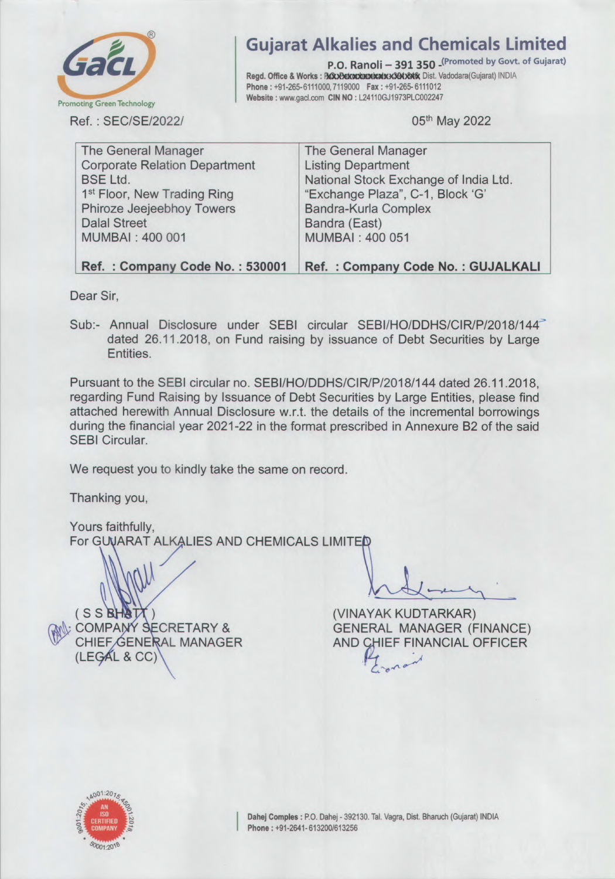

Gujarat Alkalies and Chemicals Limited

P.O. Ranoli - 391 350 (Promoted by Govt. of Gujarat) Regd. Office & Works: 関助t加ד加翼胤臓剖監<sup>×</sup>鰍献a Dist. Vadodara(Gujarat) INDIA Phone: +91-265-6111000,7119000 Fax: +91-265- 6111012 Website : www.gacl.com CIN NO : L24110GJ1973PLC002247

05th May 2022

| The General Manager                     | <b>The General Manager</b>            |
|-----------------------------------------|---------------------------------------|
| <b>Corporate Relation Department</b>    | <b>Listing Department</b>             |
| <b>BSE Ltd.</b>                         | National Stock Exchange of India Ltd. |
| 1 <sup>st</sup> Floor, New Trading Ring | "Exchange Plaza", C-1, Block 'G'      |
| Phiroze Jeejeebhoy Towers               | Bandra-Kurla Complex                  |
| <b>Dalal Street</b>                     | Bandra (East)                         |
| MUMBAI: 400 001                         | <b>MUMBAI: 400 051</b>                |
|                                         |                                       |
| Ref.: Company Code No.: 530001          | Ref.: Company Code No.: GUJALKALI     |

Dear Sir,

Sub:- Annual Disclosure under SEBI circular SEBI/HO/DDHS/CIR/P/2018/144<sup>-3</sup> dated 26.11.2018, on Fund raising by issuance of Debt Securities by Large Entities.

Pursuant to the SEBI circular no. SEBI/HO/DDHS/CIR/P/2018/144 dated 26.11.2018, regarding Fund Raising by Issuance of Debt Securities by Large Entities, please find attached herewith Annual Disclosure w.r.t. the details of the incremental borrowings during the financial year 2021-22 in the format prescribed in Annexure B2 of the said SEBI Circular.

We request you to kindly take the same on record.

Thanking you,

Yours faithfully, For GUUARAT ALKALIES AND CHEMICALS LIMITED

(SS**BHATT**)<br>(VINAYAK KUDTARKAR)<br>GENERAL MANAGER (F  $(LEGAL & CC)$ 

COMPANY SECRETARY & GENERAL MANAGER (FINANCE)<br>CHIEF GENERAL MANAGER AND CHIEF FINANCIAL OFFICER AND CHIEF FINANCIAL OFFICER ー